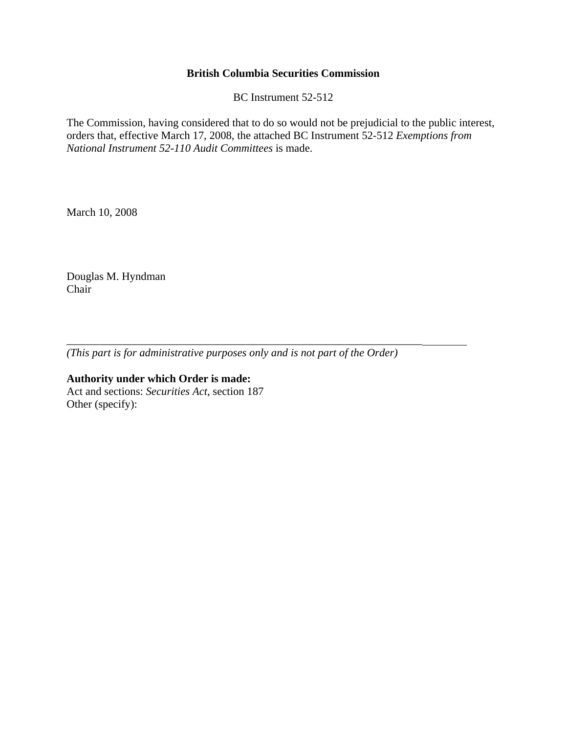## **British Columbia Securities Commission**

BC Instrument 52-512

The Commission, having considered that to do so would not be prejudicial to the public interest, orders that, effective March 17, 2008, the attached BC Instrument 52-512 *Exemptions from National Instrument 52-110 Audit Committees* is made.

March 10, 2008

Douglas M. Hyndman Chair

*(This part is for administrative purposes only and is not part of the Order)* 

\_\_\_\_\_\_\_\_\_\_\_\_\_\_\_\_\_\_\_\_\_\_\_\_\_\_\_\_\_\_\_\_\_\_\_\_\_\_\_\_\_\_\_\_\_\_\_\_\_\_\_\_\_\_\_\_\_\_\_\_\_\_\_\_

**Authority under which Order is made:**  Act and sections: *Securities Act*, section 187 Other (specify):